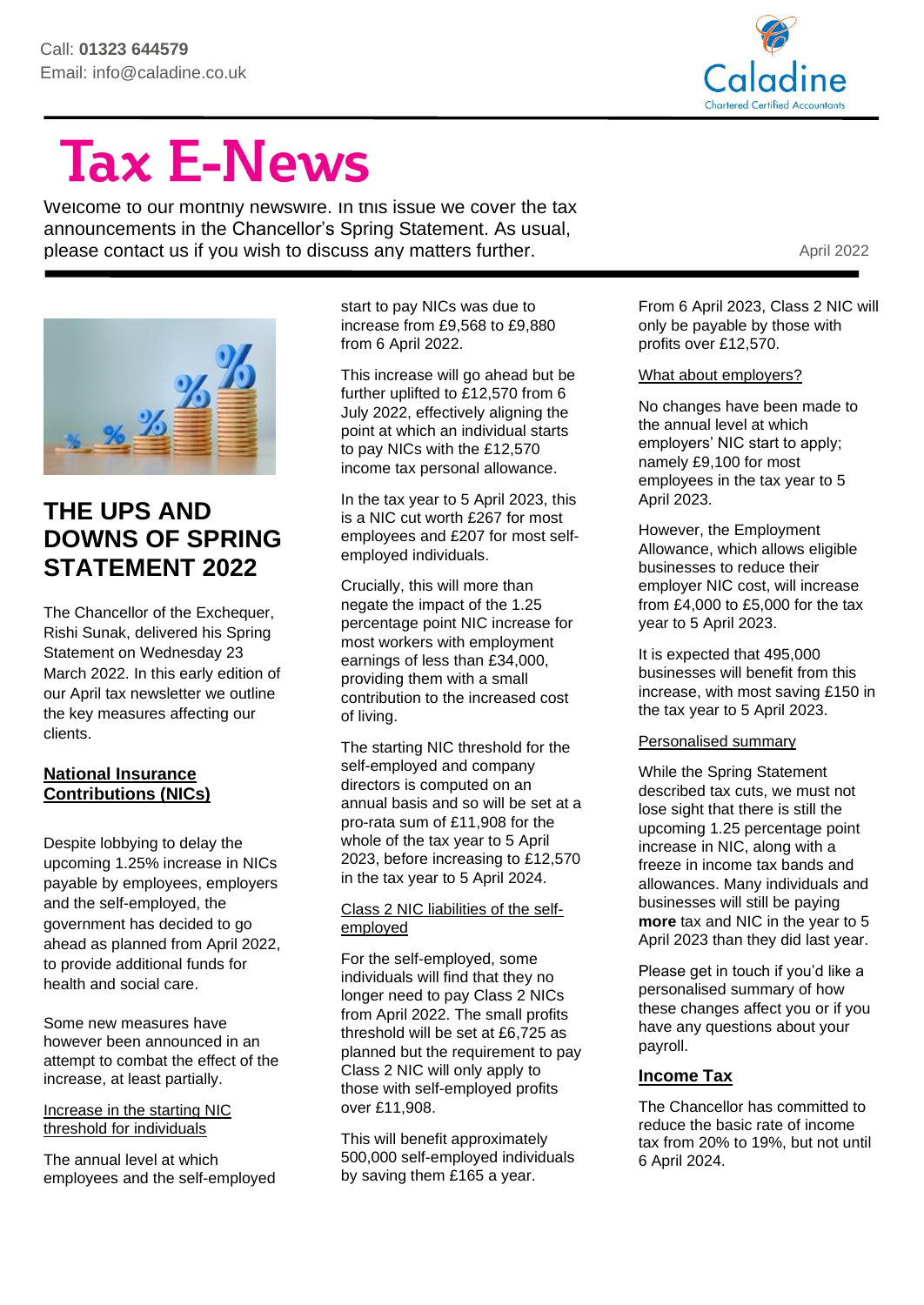

# **Tax E-News**

Welcome to our monthly newswire. In this issue we cover the tax announcements in the Chancellor's Spring Statement. As usual, please contact us if you wish to discuss any matters further.



# **THE UPS AND DOWNS OF SPRING STATEMENT 2022**

The Chancellor of the Exchequer, Rishi Sunak, delivered his Spring Statement on Wednesday 23 March 2022. In this early edition of our April tax newsletter we outline the key measures affecting our clients.

#### **National Insurance Contributions (NICs)**

Despite lobbying to delay the upcoming 1.25% increase in NICs payable by employees, employers and the self-employed, the government has decided to go ahead as planned from April 2022, to provide additional funds for health and social care.

Some new measures have however been announced in an attempt to combat the effect of the increase, at least partially.

Increase in the starting NIC threshold for individuals

The annual level at which employees and the self-employed start to pay NICs was due to increase from £9,568 to £9,880 from 6 April 2022.

This increase will go ahead but be further uplifted to £12,570 from 6 July 2022, effectively aligning the point at which an individual starts to pay NICs with the £12,570 income tax personal allowance.

In the tax year to 5 April 2023, this is a NIC cut worth £267 for most employees and £207 for most selfemployed individuals.

Crucially, this will more than negate the impact of the 1.25 percentage point NIC increase for most workers with employment earnings of less than £34,000, providing them with a small contribution to the increased cost of living.

The starting NIC threshold for the self-employed and company directors is computed on an annual basis and so will be set at a pro-rata sum of £11,908 for the whole of the tax year to 5 April 2023, before increasing to £12,570 in the tax year to 5 April 2024.

#### Class 2 NIC liabilities of the selfemployed

For the self-employed, some individuals will find that they no longer need to pay Class 2 NICs from April 2022. The small profits threshold will be set at £6,725 as planned but the requirement to pay Class 2 NIC will only apply to those with self-employed profits over £11,908.

This will benefit approximately 500,000 self-employed individuals by saving them £165 a year.

From 6 April 2023, Class 2 NIC will only be payable by those with profits over £12,570.

#### What about employers?

No changes have been made to the annual level at which employers' NIC start to apply; namely £9,100 for most employees in the tax year to 5 April 2023.

However, the Employment Allowance, which allows eligible businesses to reduce their employer NIC cost, will increase from £4,000 to £5,000 for the tax year to 5 April 2023.

It is expected that 495,000 businesses will benefit from this increase, with most saving £150 in the tax year to 5 April 2023.

#### Personalised summary

While the Spring Statement described tax cuts, we must not lose sight that there is still the upcoming 1.25 percentage point increase in NIC, along with a freeze in income tax bands and allowances. Many individuals and businesses will still be paying **more** tax and NIC in the year to 5 April 2023 than they did last year.

Please get in touch if you'd like a personalised summary of how these changes affect you or if you have any questions about your payroll.

#### **Income Tax**

The Chancellor has committed to reduce the basic rate of income tax from 20% to 19%, but not until 6 April 2024.